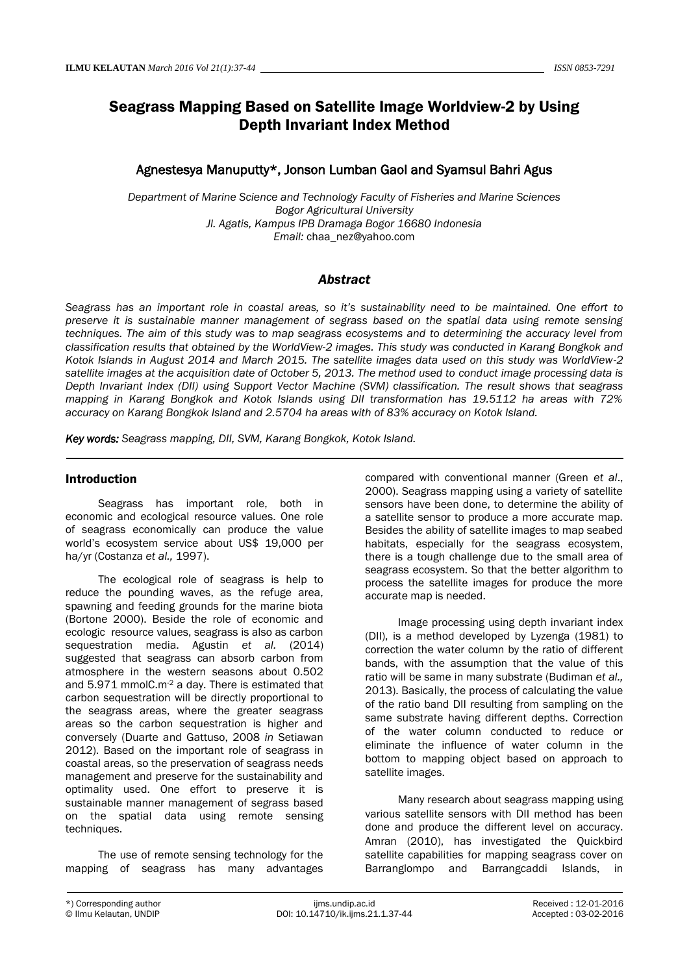# Seagrass Mapping Based on Satellite Image Worldview-2 by Using Depth Invariant Index Method

# Agnestesya Manuputty\*, Jonson Lumban Gaol and Syamsul Bahri Agus

*Department of Marine Science and Technology Faculty of Fisheries and Marine Sciences Bogor Agricultural University Jl. Agatis, Kampus IPB Dramaga Bogor 16680 Indonesia Email:* [chaa\\_nez@yahoo.com](mailto:chaa_nez@yahoo.com)

# *Abstract*

*Seagrass has an important role in coastal areas, so it's sustainability need to be maintained. One effort to preserve it is sustainable manner management of segrass based on the spatial data using remote sensing techniques. The aim of this study was to map seagrass ecosystems and to determining the accuracy level from classification results that obtained by the WorldView-2 images. This study was conducted in Karang Bongkok and Kotok Islands in August 2014 and March 2015. The satellite images data used on this study was WorldView-2 satellite images at the acquisition date of October 5, 2013. The method used to conduct image processing data is Depth Invariant Index (DII) using Support Vector Machine (SVM) classification. The result shows that seagrass mapping in Karang Bongkok and Kotok Islands using DII transformation has 19.5112 ha areas with 72% accuracy on Karang Bongkok Island and 2.5704 ha areas with of 83% accuracy on Kotok Island.* 

*Key words: Seagrass mapping, DII, SVM, Karang Bongkok, Kotok Island.*

## Introduction

Seagrass has important role, both in economic and ecological resource values. One role of seagrass economically can produce the value world's ecosystem service about US\$ 19,000 per ha/yr (Costanza *et al.,* 1997).

The ecological role of seagrass is help to reduce the pounding waves, as the refuge area, spawning and feeding grounds for the marine biota (Bortone 2000). Beside the role of economic and ecologic resource values, seagrass is also as carbon sequestration media. Agustin *et al.* (2014) suggested that seagrass can absorb carbon from atmosphere in the western seasons about 0.502 and 5.971 mmolC.m<sup>-2</sup> a day. There is estimated that carbon sequestration will be directly proportional to the seagrass areas, where the greater seagrass areas so the carbon sequestration is higher and conversely (Duarte and Gattuso, 2008 *in* Setiawan 2012). Based on the important role of seagrass in coastal areas, so the preservation of seagrass needs management and preserve for the sustainability and optimality used. One effort to preserve it is sustainable manner management of segrass based on the spatial data using remote sensing techniques.

The use of remote sensing technology for the mapping of seagrass has many advantages compared with conventional manner (Green *et al*., 2000). Seagrass mapping using a variety of satellite sensors have been done, to determine the ability of a satellite sensor to produce a more accurate map. Besides the ability of satellite images to map seabed habitats, especially for the seagrass ecosystem, there is a tough challenge due to the small area of seagrass ecosystem. So that the better algorithm to process the satellite images for produce the more accurate map is needed.

Image processing using depth invariant index (DII), is a method developed by Lyzenga (1981) to correction the water column by the ratio of different bands, with the assumption that the value of this ratio will be same in many substrate (Budiman *et al.,* 2013). Basically, the process of calculating the value of the ratio band DII resulting from sampling on the same substrate having different depths. Correction of the water column conducted to reduce or eliminate the influence of water column in the bottom to mapping object based on approach to satellite images.

Many research about seagrass mapping using various satellite sensors with DII method has been done and produce the different level on accuracy. Amran (2010), has investigated the Quickbird satellite capabilities for mapping seagrass cover on Barranglompo and Barrangcaddi Islands, in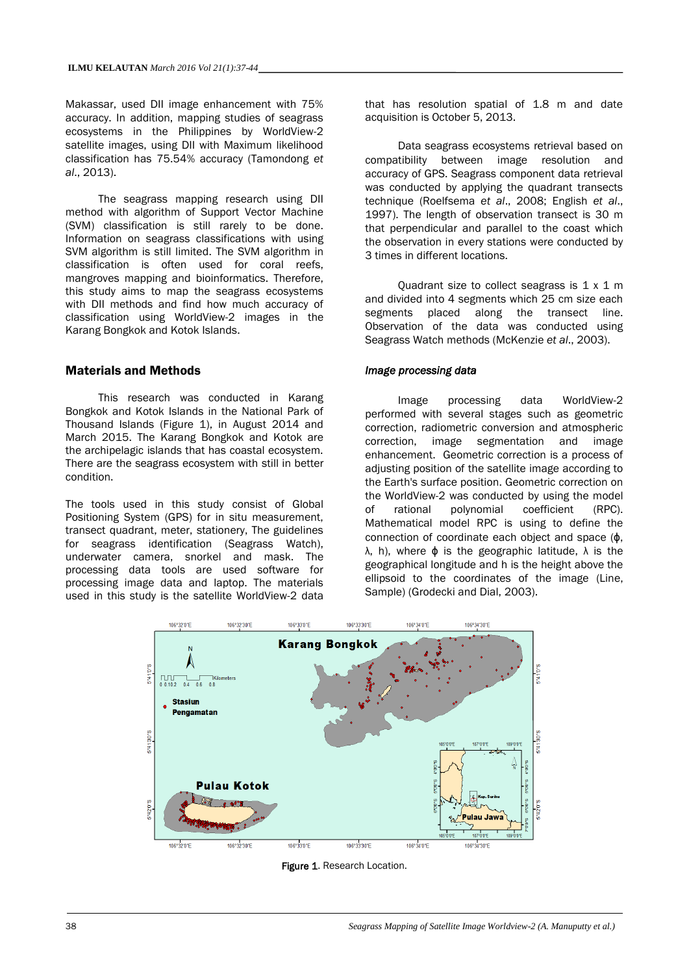Makassar, used DII image enhancement with 75% accuracy. In addition, mapping studies of seagrass ecosystems in the Philippines by WorldView-2 satellite images, using DII with Maximum likelihood classification has 75.54% accuracy (Tamondong *et al*., 2013).

The seagrass mapping research using DII method with algorithm of Support Vector Machine (SVM) classification is still rarely to be done. Information on seagrass classifications with using SVM algorithm is still limited. The SVM algorithm in classification is often used for coral reefs, mangroves mapping and bioinformatics. Therefore, this study aims to map the seagrass ecosystems with DII methods and find how much accuracy of classification using WorldView-2 images in the Karang Bongkok and Kotok Islands.

# Materials and Methods

This research was conducted in Karang Bongkok and Kotok Islands in the National Park of Thousand Islands (Figure 1), in August 2014 and March 2015. The Karang Bongkok and Kotok are the archipelagic islands that has coastal ecosystem. There are the seagrass ecosystem with still in better condition.

The tools used in this study consist of Global Positioning System (GPS) for in situ measurement, transect quadrant, meter, stationery, The guidelines for seagrass identification (Seagrass Watch), underwater camera, snorkel and mask. The processing data tools are used software for processing image data and laptop. The materials used in this study is the satellite WorldView-2 data

that has resolution spatial of 1.8 m and date acquisition is October 5, 2013.

Data seagrass ecosystems retrieval based on compatibility between image resolution and accuracy of GPS. Seagrass component data retrieval was conducted by applying the quadrant transects technique (Roelfsema *et al*., 2008; English *et al*., 1997). The length of observation transect is 30 m that perpendicular and parallel to the coast which the observation in every stations were conducted by 3 times in different locations.

Quadrant size to collect seagrass is 1 x 1 m and divided into 4 segments which 25 cm size each segments placed along the transect line. Observation of the data was conducted using Seagrass Watch methods (McKenzie *et al*., 2003).

#### *Image processing data*

Image processing data WorldView-2 performed with several stages such as geometric correction, radiometric conversion and atmospheric correction, image segmentation and image enhancement. Geometric correction is a process of adjusting position of the satellite image according to the Earth's surface position. Geometric correction on the WorldView-2 was conducted by using the model of rational polynomial coefficient (RPC). Mathematical model RPC is using to define the connection of coordinate each object and space (ɸ, λ, h), where ɸ is the geographic latitude, λ is the geographical longitude and h is the height above the ellipsoid to the coordinates of the image (Line, Sample) (Grodecki and Dial, 2003).



Figure 1. Research Location.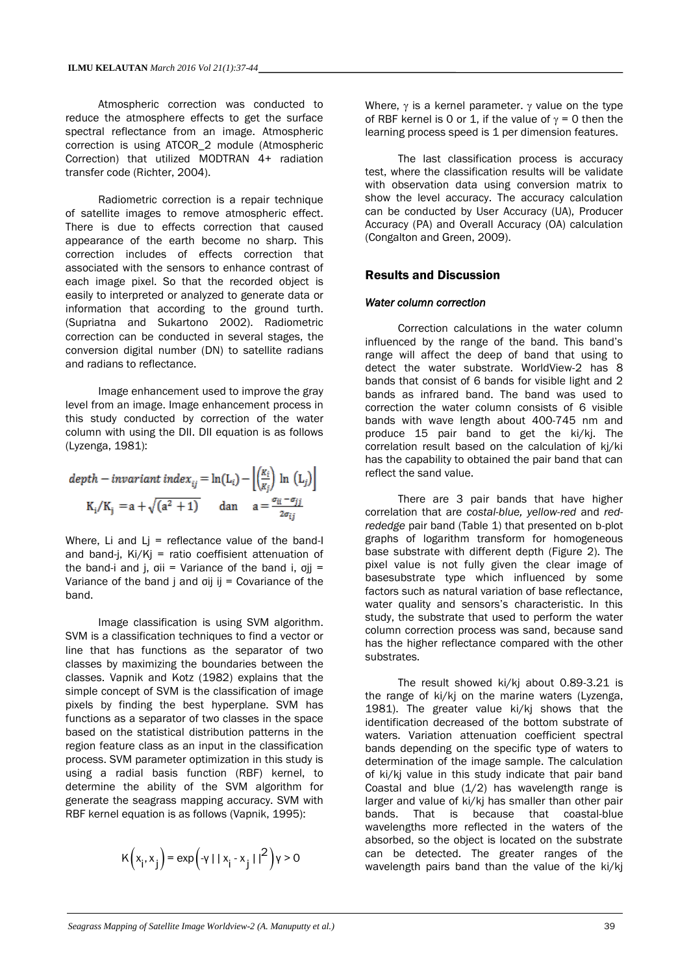Atmospheric correction was conducted to reduce the atmosphere effects to get the surface spectral reflectance from an image. Atmospheric correction is using ATCOR\_2 module (Atmospheric Correction) that utilized MODTRAN 4+ radiation transfer code (Richter, 2004).

Radiometric correction is a repair technique of satellite images to remove atmospheric effect. There is due to effects correction that caused appearance of the earth become no sharp. This correction includes of effects correction that associated with the sensors to enhance contrast of each image pixel. So that the recorded object is easily to interpreted or analyzed to generate data or information that according to the ground turth. (Supriatna and Sukartono 2002). Radiometric correction can be conducted in several stages, the conversion digital number (DN) to satellite radians and radians to reflectance.

Image enhancement used to improve the gray level from an image. Image enhancement process in this study conducted by correction of the water column with using the DII. DII equation is as follows (Lyzenga, 1981):

$$
depth - invariant\ index_{ij} = \ln(L_i) - \left\lfloor \frac{K_i}{K_j} \right\rfloor \ln(L_j) \right\rfloor
$$

$$
K_i/K_j = a + \sqrt{(a^2 + 1)} \quad \text{dan} \quad a = \frac{\sigma_{ii} - \sigma_{jj}}{2\sigma_{ij}}
$$

Where, Li and  $Li =$  reflectance value of the band-I and band-j, Ki/Kj = ratio coeffisient attenuation of the band-i and i,  $\sigma$ ii = Variance of the band i,  $\sigma$ ii = Variance of the band  $j$  and  $j$  ij = Covariance of the band.

Image classification is using SVM algorithm. SVM is a classification techniques to find a vector or line that has functions as the separator of two classes by maximizing the boundaries between the classes. Vapnik and Kotz (1982) explains that the simple concept of SVM is the classification of image pixels by finding the best hyperplane. SVM has functions as a separator of two classes in the space based on the statistical distribution patterns in the region feature class as an input in the classification process. SVM parameter optimization in this study is using a radial basis function (RBF) kernel, to determine the ability of the SVM algorithm for generate the seagrass mapping accuracy. SVM with RBF kernel equation is as follows (Vapnik, 1995):

$$
K(x_i, x_j) = \exp(-y + |x_i - x_j|)^2 \, y > 0
$$

Where,  $\gamma$  is a kernel parameter.  $\gamma$  value on the type of RBF kernel is 0 or 1, if the value of  $\gamma = 0$  then the learning process speed is 1 per dimension features.

The last classification process is accuracy test, where the classification results will be validate with observation data using conversion matrix to show the level accuracy. The accuracy calculation can be conducted by User Accuracy (UA), Producer Accuracy (PA) and Overall Accuracy (OA) calculation (Congalton and Green, 2009).

#### Results and Discussion

#### *Water column correction*

Correction calculations in the water column influenced by the range of the band. This band's range will affect the deep of band that using to detect the water substrate. WorldView-2 has 8 bands that consist of 6 bands for visible light and 2 bands as infrared band. The band was used to correction the water column consists of 6 visible bands with wave length about 400-745 nm and produce 15 pair band to get the ki/kj. The correlation result based on the calculation of kj/ki has the capability to obtained the pair band that can reflect the sand value.

There are 3 pair bands that have higher correlation that are *costal-blue, yellow-red* and *redrededge* pair band (Table 1) that presented on b-plot graphs of logarithm transform for homogeneous base substrate with different depth (Figure 2). The pixel value is not fully given the clear image of basesubstrate type which influenced by some factors such as natural variation of base reflectance, water quality and sensors's characteristic. In this study, the substrate that used to perform the water column correction process was sand, because sand has the higher reflectance compared with the other substrates.

The result showed ki/kj about 0.89-3.21 is the range of ki/kj on the marine waters (Lyzenga, 1981). The greater value ki/kj shows that the identification decreased of the bottom substrate of waters. Variation attenuation coefficient spectral bands depending on the specific type of waters to determination of the image sample. The calculation of ki/kj value in this study indicate that pair band Coastal and blue  $(1/2)$  has wavelength range is larger and value of ki/kj has smaller than other pair bands. That is because that coastal-blue wavelengths more reflected in the waters of the absorbed, so the object is located on the substrate can be detected. The greater ranges of the wavelength pairs band than the value of the ki/kj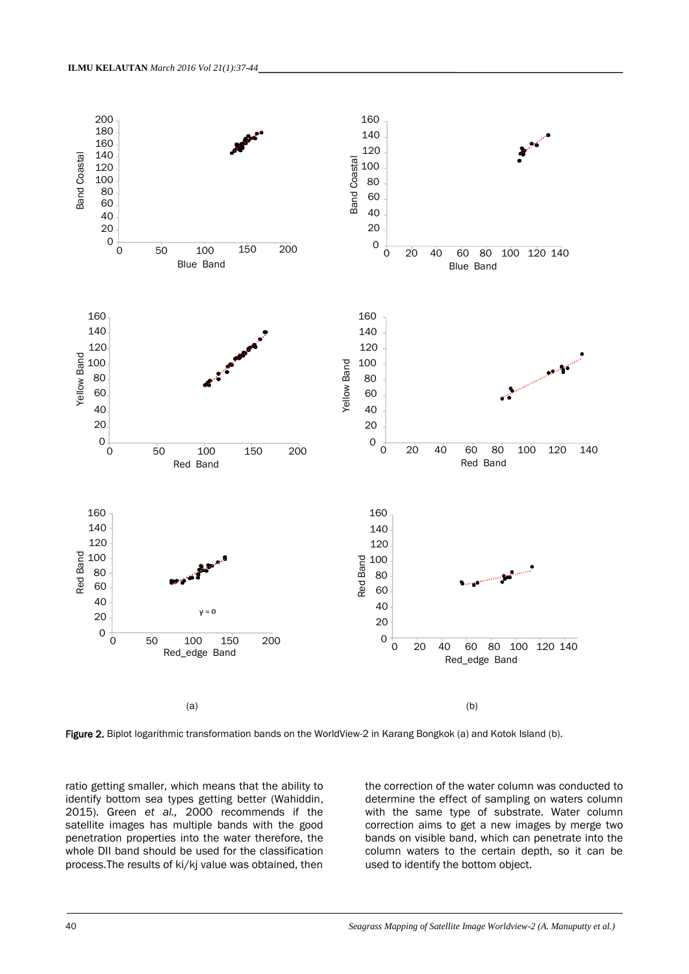

Figure 2. Biplot logarithmic transformation bands on the WorldView-2 in Karang Bongkok (a) and Kotok Island (b).

ratio getting smaller, which means that the ability to identify bottom sea types getting better (Wahiddin, 2015). Green *et al.,* 2000 recommends if the satellite images has multiple bands with the good penetration properties into the water therefore, the whole DII band should be used for the classification process.The results of ki/kj value was obtained, then

the correction of the water column was conducted to determine the effect of sampling on waters column with the same type of substrate. Water column correction aims to get a new images by merge two bands on visible band, which can penetrate into the column waters to the certain depth, so it can be used to identify the bottom object.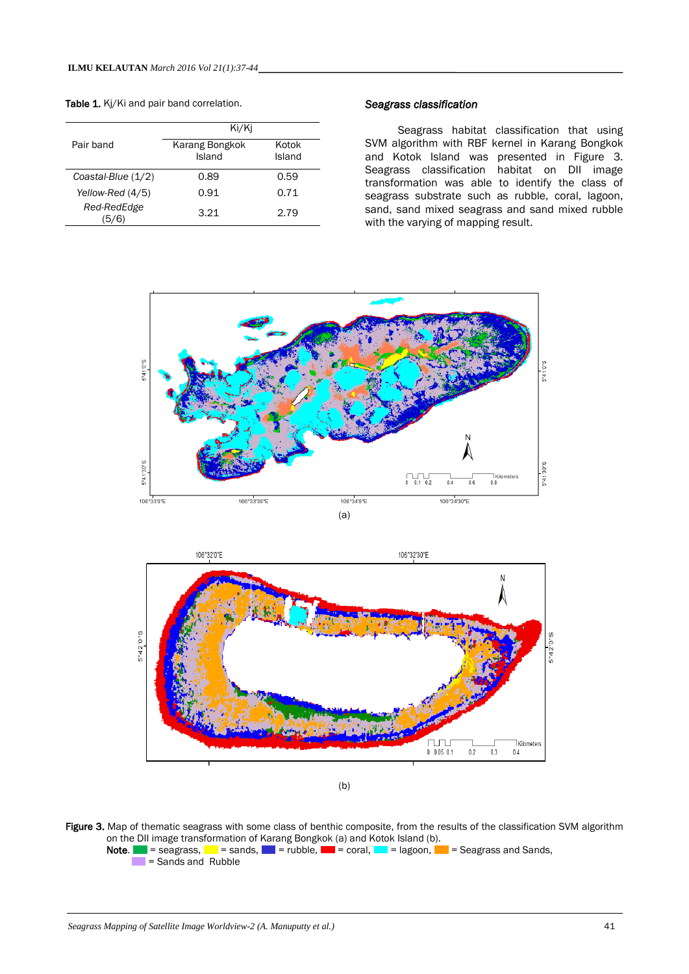Table 1. Kj/Ki and pair band correlation.

|                      | Ki/Ki                    |                 |  |
|----------------------|--------------------------|-----------------|--|
| Pair band            | Karang Bongkok<br>Island | Kotok<br>Island |  |
| Coastal-Blue $(1/2)$ | 0.89                     | 0.59            |  |
| Yellow-Red (4/5)     | 0.91                     | 0.71            |  |
| Red-RedEdge          | 3.21                     | 2.79            |  |

#### *Seagrass classification*

Seagrass habitat classification that using SVM algorithm with RBF kernel in Karang Bongkok and Kotok Island was presented in Figure 3. Seagrass classification habitat on DII image transformation was able to identify the class of seagrass substrate such as rubble, coral, lagoon, sand, sand mixed seagrass and sand mixed rubble with the varying of mapping result.



(b)

 $0$  0.05 0.1

 $0.2$  $0.3$  $04$ 

Figure 3. Map of thematic seagrass with some class of benthic composite, from the results of the classification SVM algorithm on the DII image transformation of Karang Bongkok (a) and Kotok Island (b).

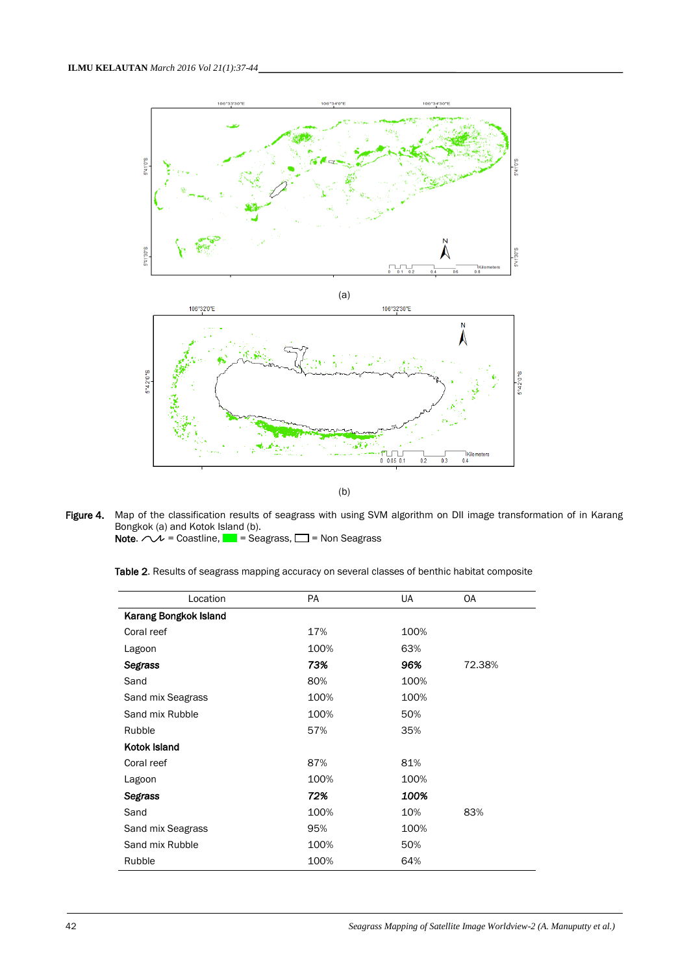

(b)

Figure 4. Map of the classification results of seagrass with using SVM algorithm on DII image transformation of in Karang Bongkok (a) and Kotok Island (b).

**Note.**  $\curvearrowright$  = Coastline,  $\blacksquare$  = Seagrass,  $\square$  = Non Seagrass

Table 2. Results of seagrass mapping accuracy on several classes of benthic habitat composite

| Location              | PA   | UA   | <b>OA</b> |
|-----------------------|------|------|-----------|
| Karang Bongkok Island |      |      |           |
| Coral reef            | 17%  | 100% |           |
| Lagoon                | 100% | 63%  |           |
| <b>Segrass</b>        | 73%  | 96%  | 72.38%    |
| Sand                  | 80%  | 100% |           |
| Sand mix Seagrass     | 100% | 100% |           |
| Sand mix Rubble       | 100% | 50%  |           |
| Rubble                | 57%  | 35%  |           |
| Kotok Island          |      |      |           |
| Coral reef            | 87%  | 81%  |           |
| Lagoon                | 100% | 100% |           |
| <b>Segrass</b>        | 72%  | 100% |           |
| Sand                  | 100% | 10%  | 83%       |
| Sand mix Seagrass     | 95%  | 100% |           |
| Sand mix Rubble       | 100% | 50%  |           |
| Rubble                | 100% | 64%  |           |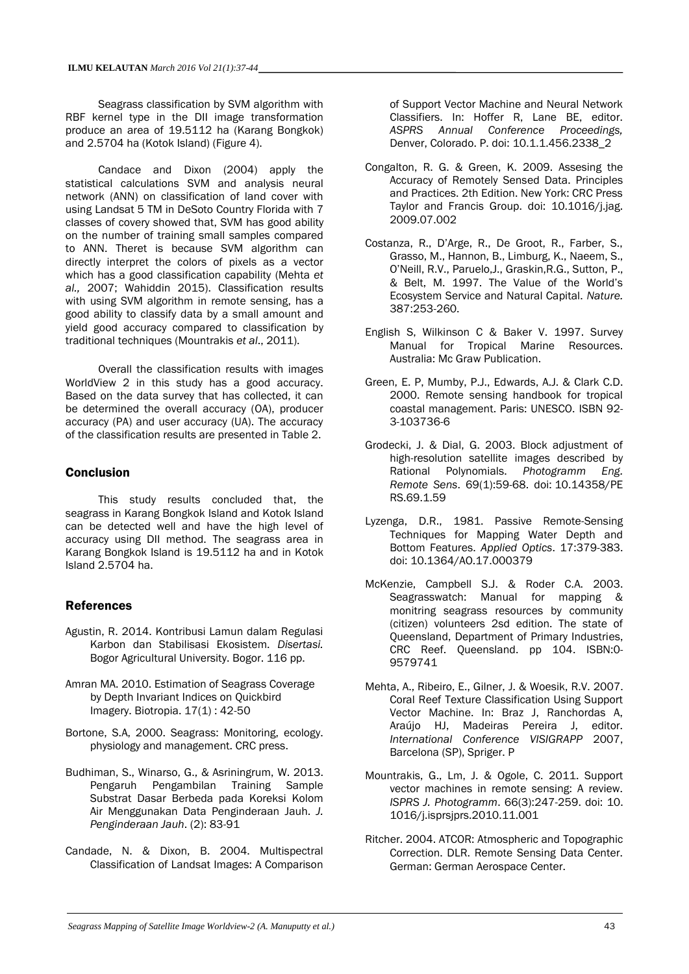Seagrass classification by SVM algorithm with RBF kernel type in the DII image transformation produce an area of 19.5112 ha (Karang Bongkok) and 2.5704 ha (Kotok Island) (Figure 4).

Candace and Dixon (2004) apply the statistical calculations SVM and analysis neural network (ANN) on classification of land cover with using Landsat 5 TM in DeSoto Country Florida with 7 classes of covery showed that, SVM has good ability on the number of training small samples compared to ANN. Theret is because SVM algorithm can directly interpret the colors of pixels as a vector which has a good classification capability (Mehta *et al.,* 2007; Wahiddin 2015). Classification results with using SVM algorithm in remote sensing, has a good ability to classify data by a small amount and yield good accuracy compared to classification by traditional techniques (Mountrakis *et al*., 2011).

Overall the classification results with images WorldView 2 in this study has a good accuracy. Based on the data survey that has collected, it can be determined the overall accuracy (OA), producer accuracy (PA) and user accuracy (UA). The accuracy of the classification results are presented in Table 2.

## **Conclusion**

This study results concluded that, the seagrass in Karang Bongkok Island and Kotok Island can be detected well and have the high level of accuracy using DII method. The seagrass area in Karang Bongkok Island is 19.5112 ha and in Kotok Island 2.5704 ha.

# References

- Agustin, R. 2014. Kontribusi Lamun dalam Regulasi Karbon dan Stabilisasi Ekosistem. *Disertasi.* Bogor Agricultural University. Bogor. 116 pp.
- Amran MA. 2010. Estimation of Seagrass Coverage by Depth Invariant Indices on Quickbird Imagery. Biotropia. 17(1) : 42-50
- Bortone, S.A, 2000. Seagrass: Monitoring, ecology. physiology and management. CRC press.
- Budhiman, S., Winarso, G., & Asriningrum, W. 2013. Pengaruh Pengambilan Training Sample Substrat Dasar Berbeda pada Koreksi Kolom Air Menggunakan Data Penginderaan Jauh. *J. Penginderaan Jauh*. (2): 83-91
- Candade, N. & Dixon, B. 2004. Multispectral Classification of Landsat Images: A Comparison

of Support Vector Machine and Neural Network Classifiers. In: Hoffer R, Lane BE, editor. *ASPRS Annual Conference Proceedings,* Denver, Colorado. P. doi: 10.1.1.456.2338\_2

- Congalton, R. G. & Green, K. 2009. Assesing the Accuracy of Remotely Sensed Data. Principles and Practices. 2th Edition. New York: CRC Press Taylor and Francis Group. doi: 10.1016/j.jag. 2009.07.002
- Costanza, R., D'Arge, R., De Groot, R., Farber, S., Grasso, M., Hannon, B., Limburg, K., Naeem, S., O'Neill, R.V., Paruelo,J., Graskin,R.G., Sutton, P., & Belt, M. 1997. The Value of the World's Ecosystem Service and Natural Capital. *Nature.*  387:253-260.
- English S, Wilkinson C & Baker V. 1997. Survey Manual for Tropical Marine Resources. Australia: Mc Graw Publication.
- Green, E. P, Mumby, P.J., Edwards, A.J. & Clark C.D. 2000. Remote sensing handbook for tropical coastal management. Paris: UNESCO. ISBN 92- 3-103736-6
- Grodecki, J. & Dial, G. 2003. Block adjustment of high-resolution satellite images described by Rational Polynomials. *Photogramm Eng. Remote Sens*. 69(1):59-68. doi: 10.14358/PE RS.69.1.59
- Lyzenga, D.R., 1981. Passive Remote-Sensing Techniques for Mapping Water Depth and Bottom Features. *Applied Optics*. 17:379-383. doi: [10.1364/AO.17.000379](http://dx.doi.org/10.1364/AO.17.000379)
- McKenzie, Campbell S.J. & Roder C.A. 2003. Seagrasswatch: Manual for mapping & monitring seagrass resources by community (citizen) volunteers 2sd edition. The state of Queensland, Department of Primary Industries, CRC Reef. Queensland. pp 104. ISBN:0- 9579741
- Mehta, A., Ribeiro, E., Gilner, J. & Woesik, R.V. 2007. Coral Reef Texture Classification Using Support Vector Machine. In: Braz J, Ranchordas A, Araújo HJ, Madeiras Pereira J, editor. *International Conference VISIGRAPP* 2007, Barcelona (SP), Spriger. P
- Mountrakis, G., Lm, J. & Ogole, C. 2011. Support vector machines in remote sensing: A review. *ISPRS J. Photogramm*. 66(3):247-259. doi: 10. 1016/j.isprsjprs.2010.11.001
- Ritcher. 2004. ATCOR: Atmospheric and Topographic Correction. DLR. Remote Sensing Data Center. German: German Aerospace Center.